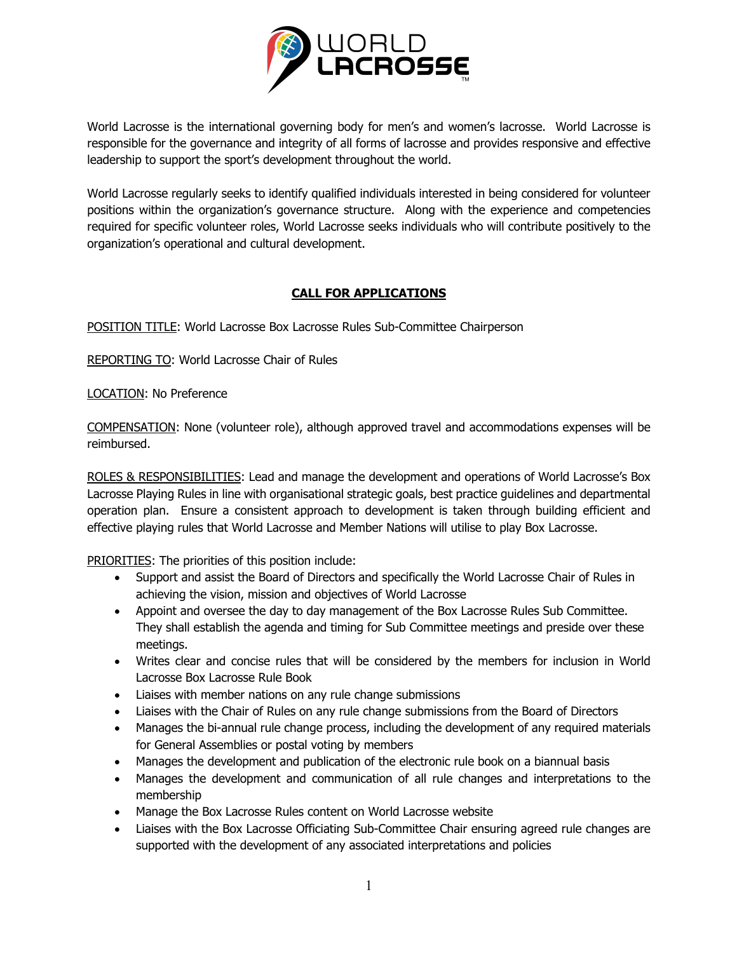

World Lacrosse is the international governing body for men's and women's lacrosse. World Lacrosse is responsible for the governance and integrity of all forms of lacrosse and provides responsive and effective leadership to support the sport's development throughout the world.

World Lacrosse regularly seeks to identify qualified individuals interested in being considered for volunteer positions within the organization's governance structure. Along with the experience and competencies required for specific volunteer roles, World Lacrosse seeks individuals who will contribute positively to the organization's operational and cultural development.

## **CALL FOR APPLICATIONS**

POSITION TITLE: World Lacrosse Box Lacrosse Rules Sub-Committee Chairperson

REPORTING TO: World Lacrosse Chair of Rules

LOCATION: No Preference

COMPENSATION: None (volunteer role), although approved travel and accommodations expenses will be reimbursed.

ROLES & RESPONSIBILITIES: Lead and manage the development and operations of World Lacrosse's Box Lacrosse Playing Rules in line with organisational strategic goals, best practice guidelines and departmental operation plan. Ensure a consistent approach to development is taken through building efficient and effective playing rules that World Lacrosse and Member Nations will utilise to play Box Lacrosse.

PRIORITIES: The priorities of this position include:

- Support and assist the Board of Directors and specifically the World Lacrosse Chair of Rules in achieving the vision, mission and objectives of World Lacrosse
- Appoint and oversee the day to day management of the Box Lacrosse Rules Sub Committee. They shall establish the agenda and timing for Sub Committee meetings and preside over these meetings.
- Writes clear and concise rules that will be considered by the members for inclusion in World Lacrosse Box Lacrosse Rule Book
- Liaises with member nations on any rule change submissions
- Liaises with the Chair of Rules on any rule change submissions from the Board of Directors
- Manages the bi-annual rule change process, including the development of any required materials for General Assemblies or postal voting by members
- Manages the development and publication of the electronic rule book on a biannual basis
- Manages the development and communication of all rule changes and interpretations to the membership
- Manage the Box Lacrosse Rules content on World Lacrosse website
- Liaises with the Box Lacrosse Officiating Sub-Committee Chair ensuring agreed rule changes are supported with the development of any associated interpretations and policies